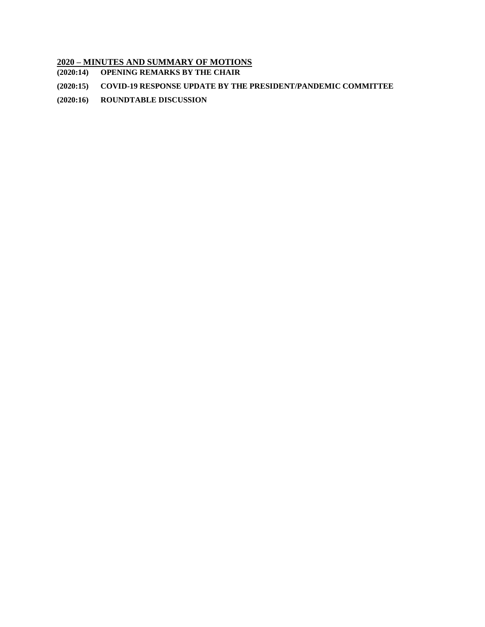# **2020 – MINUTES AND SUMMARY OF MOTIONS**

- **(2020:14) [OPENING REMARKS BY THE CHAIR](#page-1-0)**
- **(2020:15) [COVID-19 RESPONSE UPDATE BY THE PRESIDENT/PANDEMIC COMMITTEE](#page-1-1)**
- **(2020:16) [ROUNDTABLE DISCUSSION](#page-4-0)**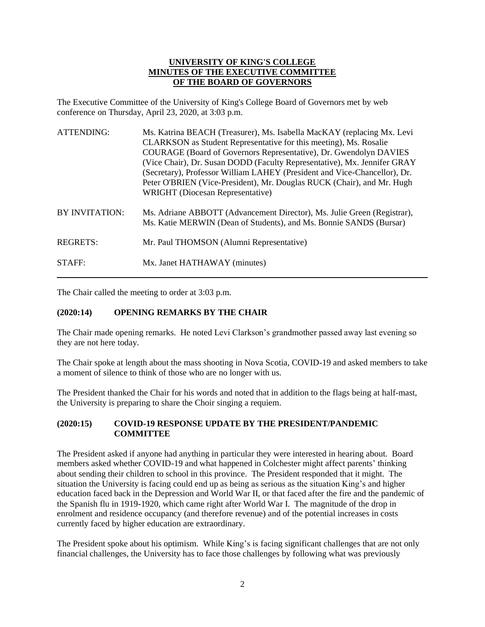## **UNIVERSITY OF KING'S COLLEGE MINUTES OF THE EXECUTIVE COMMITTEE OF THE BOARD OF GOVERNORS**

The Executive Committee of the University of King's College Board of Governors met by web conference on Thursday, April 23, 2020, at 3:03 p.m.

| <b>ATTENDING:</b>     | Ms. Katrina BEACH (Treasurer), Ms. Isabella MacKAY (replacing Mx. Levi<br>CLARKSON as Student Representative for this meeting), Ms. Rosalie<br>COURAGE (Board of Governors Representative), Dr. Gwendolyn DAVIES<br>(Vice Chair), Dr. Susan DODD (Faculty Representative), Mx. Jennifer GRAY<br>(Secretary), Professor William LAHEY (President and Vice-Chancellor), Dr.<br>Peter O'BRIEN (Vice-President), Mr. Douglas RUCK (Chair), and Mr. Hugh<br><b>WRIGHT</b> (Diocesan Representative) |
|-----------------------|------------------------------------------------------------------------------------------------------------------------------------------------------------------------------------------------------------------------------------------------------------------------------------------------------------------------------------------------------------------------------------------------------------------------------------------------------------------------------------------------|
| <b>BY INVITATION:</b> | Ms. Adriane ABBOTT (Advancement Director), Ms. Julie Green (Registrar),<br>Ms. Katie MERWIN (Dean of Students), and Ms. Bonnie SANDS (Bursar)                                                                                                                                                                                                                                                                                                                                                  |
| <b>REGRETS:</b>       | Mr. Paul THOMSON (Alumni Representative)                                                                                                                                                                                                                                                                                                                                                                                                                                                       |
| STAFF:                | Mx. Janet HATHAWAY (minutes)                                                                                                                                                                                                                                                                                                                                                                                                                                                                   |

The Chair called the meeting to order at 3:03 p.m.

## <span id="page-1-0"></span>**(2020:14) OPENING REMARKS BY THE CHAIR**

The Chair made opening remarks. He noted Levi Clarkson's grandmother passed away last evening so they are not here today.

The Chair spoke at length about the mass shooting in Nova Scotia, COVID-19 and asked members to take a moment of silence to think of those who are no longer with us.

The President thanked the Chair for his words and noted that in addition to the flags being at half-mast, the University is preparing to share the Choir singing a requiem.

#### <span id="page-1-1"></span>**(2020:15) COVID-19 RESPONSE UPDATE BY THE PRESIDENT/PANDEMIC COMMITTEE**

The President asked if anyone had anything in particular they were interested in hearing about. Board members asked whether COVID-19 and what happened in Colchester might affect parents' thinking about sending their children to school in this province. The President responded that it might. The situation the University is facing could end up as being as serious as the situation King's and higher education faced back in the Depression and World War II, or that faced after the fire and the pandemic of the Spanish flu in 1919-1920, which came right after World War I. The magnitude of the drop in enrolment and residence occupancy (and therefore revenue) and of the potential increases in costs currently faced by higher education are extraordinary.

The President spoke about his optimism. While King's is facing significant challenges that are not only financial challenges, the University has to face those challenges by following what was previously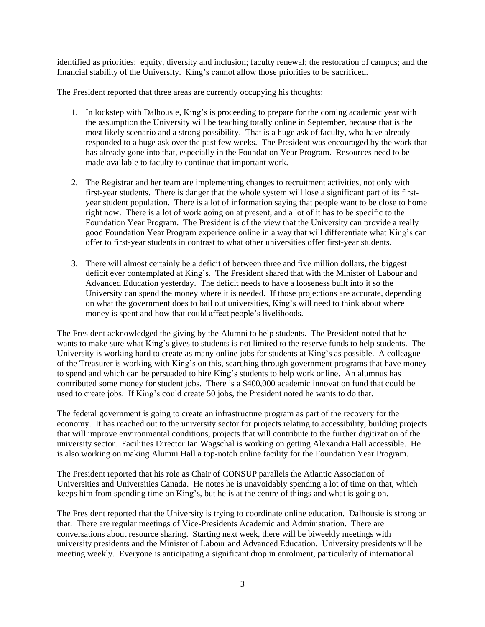identified as priorities: equity, diversity and inclusion; faculty renewal; the restoration of campus; and the financial stability of the University. King's cannot allow those priorities to be sacrificed.

The President reported that three areas are currently occupying his thoughts:

- 1. In lockstep with Dalhousie, King's is proceeding to prepare for the coming academic year with the assumption the University will be teaching totally online in September, because that is the most likely scenario and a strong possibility. That is a huge ask of faculty, who have already responded to a huge ask over the past few weeks. The President was encouraged by the work that has already gone into that, especially in the Foundation Year Program. Resources need to be made available to faculty to continue that important work.
- 2. The Registrar and her team are implementing changes to recruitment activities, not only with first-year students. There is danger that the whole system will lose a significant part of its firstyear student population. There is a lot of information saying that people want to be close to home right now. There is a lot of work going on at present, and a lot of it has to be specific to the Foundation Year Program. The President is of the view that the University can provide a really good Foundation Year Program experience online in a way that will differentiate what King's can offer to first-year students in contrast to what other universities offer first-year students.
- 3. There will almost certainly be a deficit of between three and five million dollars, the biggest deficit ever contemplated at King's. The President shared that with the Minister of Labour and Advanced Education yesterday. The deficit needs to have a looseness built into it so the University can spend the money where it is needed. If those projections are accurate, depending on what the government does to bail out universities, King's will need to think about where money is spent and how that could affect people's livelihoods.

The President acknowledged the giving by the Alumni to help students. The President noted that he wants to make sure what King's gives to students is not limited to the reserve funds to help students. The University is working hard to create as many online jobs for students at King's as possible. A colleague of the Treasurer is working with King's on this, searching through government programs that have money to spend and which can be persuaded to hire King's students to help work online. An alumnus has contributed some money for student jobs. There is a \$400,000 academic innovation fund that could be used to create jobs. If King's could create 50 jobs, the President noted he wants to do that.

The federal government is going to create an infrastructure program as part of the recovery for the economy. It has reached out to the university sector for projects relating to accessibility, building projects that will improve environmental conditions, projects that will contribute to the further digitization of the university sector. Facilities Director Ian Wagschal is working on getting Alexandra Hall accessible. He is also working on making Alumni Hall a top-notch online facility for the Foundation Year Program.

The President reported that his role as Chair of CONSUP parallels the Atlantic Association of Universities and Universities Canada. He notes he is unavoidably spending a lot of time on that, which keeps him from spending time on King's, but he is at the centre of things and what is going on.

The President reported that the University is trying to coordinate online education. Dalhousie is strong on that. There are regular meetings of Vice-Presidents Academic and Administration. There are conversations about resource sharing. Starting next week, there will be biweekly meetings with university presidents and the Minister of Labour and Advanced Education. University presidents will be meeting weekly. Everyone is anticipating a significant drop in enrolment, particularly of international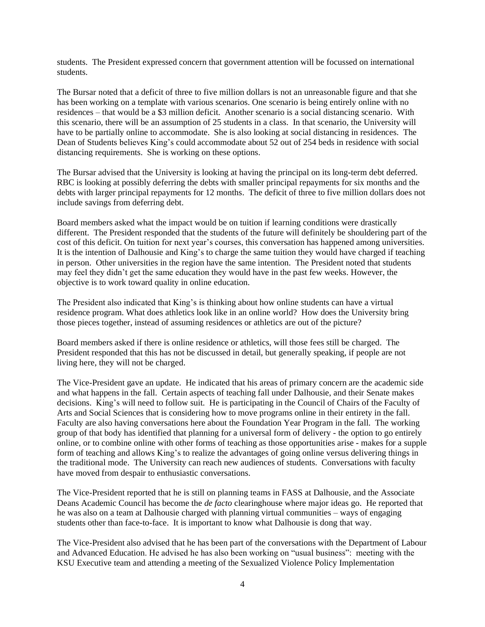students. The President expressed concern that government attention will be focussed on international students.

The Bursar noted that a deficit of three to five million dollars is not an unreasonable figure and that she has been working on a template with various scenarios. One scenario is being entirely online with no residences – that would be a \$3 million deficit. Another scenario is a social distancing scenario. With this scenario, there will be an assumption of 25 students in a class. In that scenario, the University will have to be partially online to accommodate. She is also looking at social distancing in residences. The Dean of Students believes King's could accommodate about 52 out of 254 beds in residence with social distancing requirements. She is working on these options.

The Bursar advised that the University is looking at having the principal on its long-term debt deferred. RBC is looking at possibly deferring the debts with smaller principal repayments for six months and the debts with larger principal repayments for 12 months. The deficit of three to five million dollars does not include savings from deferring debt.

Board members asked what the impact would be on tuition if learning conditions were drastically different. The President responded that the students of the future will definitely be shouldering part of the cost of this deficit. On tuition for next year's courses, this conversation has happened among universities. It is the intention of Dalhousie and King's to charge the same tuition they would have charged if teaching in person. Other universities in the region have the same intention. The President noted that students may feel they didn't get the same education they would have in the past few weeks. However, the objective is to work toward quality in online education.

The President also indicated that King's is thinking about how online students can have a virtual residence program. What does athletics look like in an online world? How does the University bring those pieces together, instead of assuming residences or athletics are out of the picture?

Board members asked if there is online residence or athletics, will those fees still be charged. The President responded that this has not be discussed in detail, but generally speaking, if people are not living here, they will not be charged.

The Vice-President gave an update. He indicated that his areas of primary concern are the academic side and what happens in the fall. Certain aspects of teaching fall under Dalhousie, and their Senate makes decisions. King's will need to follow suit. He is participating in the Council of Chairs of the Faculty of Arts and Social Sciences that is considering how to move programs online in their entirety in the fall. Faculty are also having conversations here about the Foundation Year Program in the fall. The working group of that body has identified that planning for a universal form of delivery - the option to go entirely online, or to combine online with other forms of teaching as those opportunities arise - makes for a supple form of teaching and allows King's to realize the advantages of going online versus delivering things in the traditional mode. The University can reach new audiences of students. Conversations with faculty have moved from despair to enthusiastic conversations.

The Vice-President reported that he is still on planning teams in FASS at Dalhousie, and the Associate Deans Academic Council has become the *de facto* clearinghouse where major ideas go. He reported that he was also on a team at Dalhousie charged with planning virtual communities – ways of engaging students other than face-to-face. It is important to know what Dalhousie is dong that way.

The Vice-President also advised that he has been part of the conversations with the Department of Labour and Advanced Education. He advised he has also been working on "usual business": meeting with the KSU Executive team and attending a meeting of the Sexualized Violence Policy Implementation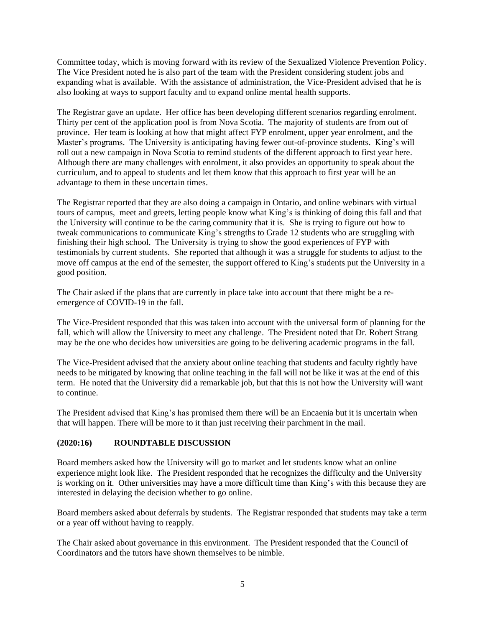Committee today, which is moving forward with its review of the Sexualized Violence Prevention Policy. The Vice President noted he is also part of the team with the President considering student jobs and expanding what is available. With the assistance of administration, the Vice-President advised that he is also looking at ways to support faculty and to expand online mental health supports.

The Registrar gave an update. Her office has been developing different scenarios regarding enrolment. Thirty per cent of the application pool is from Nova Scotia. The majority of students are from out of province. Her team is looking at how that might affect FYP enrolment, upper year enrolment, and the Master's programs. The University is anticipating having fewer out-of-province students. King's will roll out a new campaign in Nova Scotia to remind students of the different approach to first year here. Although there are many challenges with enrolment, it also provides an opportunity to speak about the curriculum, and to appeal to students and let them know that this approach to first year will be an advantage to them in these uncertain times.

The Registrar reported that they are also doing a campaign in Ontario, and online webinars with virtual tours of campus, meet and greets, letting people know what King's is thinking of doing this fall and that the University will continue to be the caring community that it is. She is trying to figure out how to tweak communications to communicate King's strengths to Grade 12 students who are struggling with finishing their high school. The University is trying to show the good experiences of FYP with testimonials by current students. She reported that although it was a struggle for students to adjust to the move off campus at the end of the semester, the support offered to King's students put the University in a good position.

The Chair asked if the plans that are currently in place take into account that there might be a reemergence of COVID-19 in the fall.

The Vice-President responded that this was taken into account with the universal form of planning for the fall, which will allow the University to meet any challenge. The President noted that Dr. Robert Strang may be the one who decides how universities are going to be delivering academic programs in the fall.

The Vice-President advised that the anxiety about online teaching that students and faculty rightly have needs to be mitigated by knowing that online teaching in the fall will not be like it was at the end of this term. He noted that the University did a remarkable job, but that this is not how the University will want to continue.

The President advised that King's has promised them there will be an Encaenia but it is uncertain when that will happen. There will be more to it than just receiving their parchment in the mail.

#### <span id="page-4-0"></span>**(2020:16) ROUNDTABLE DISCUSSION**

Board members asked how the University will go to market and let students know what an online experience might look like. The President responded that he recognizes the difficulty and the University is working on it. Other universities may have a more difficult time than King's with this because they are interested in delaying the decision whether to go online.

Board members asked about deferrals by students. The Registrar responded that students may take a term or a year off without having to reapply.

The Chair asked about governance in this environment. The President responded that the Council of Coordinators and the tutors have shown themselves to be nimble.